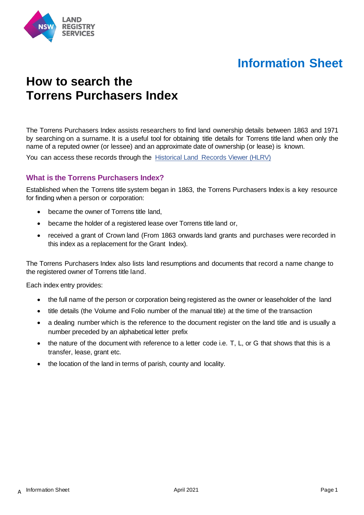

# **Information Sheet**

## **How to search the Torrens Purchasers Index**

The Torrens Purchasers Index assists researchers to find land ownership details between 1863 and 1971 by searching on a surname. It is a useful tool for obtaining title details for Torrens title land when only the name of a reputed owner (or lessee) and an approximate date of ownership (or lease) is known.

You can access these records through the [Historical Land Records Viewer](http://hlrv.nswlrs.com.au/terms/acceptTerms.htm) (HLRV)

#### **What is the Torrens Purchasers Index?**

Established when the Torrens title system began in 1863, the Torrens Purchasers Index is a key resource for finding when a person or corporation:

- became the owner of Torrens title land,
- became the holder of a registered lease over Torrens title land or,
- received a grant of Crown land (From 1863 onwards land grants and purchases were recorded in this index as a replacement for the Grant Index).

The Torrens Purchasers Index also lists land resumptions and documents that record a name change to the registered owner of Torrens title land.

Each index entry provides:

- the full name of the person or corporation being registered as the owner or leaseholder of the land
- title details (the Volume and Folio number of the manual title) at the time of the transaction
- a dealing number which is the reference to the document register on the land title and is usually a number preceded by an alphabetical letter prefix
- the nature of the document with reference to a letter code i.e. T, L, or G that shows that this is a transfer, lease, grant etc.
- the location of the land in terms of parish, county and locality.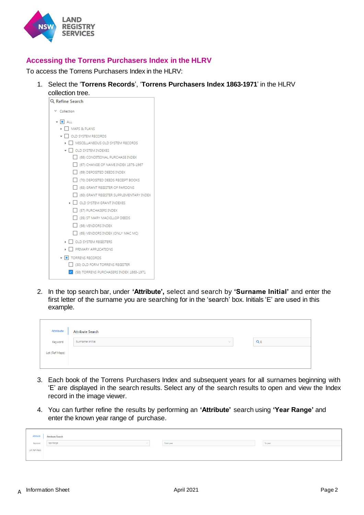

### **Accessing the Torrens Purchasers Index in the HLRV**

To access the Torrens Purchasers Index in the HLRV:

- 1. Select the '**Torrens Records**', '**Torrens Purchasers Index 1863-1971**' in the HLRV
	- collection tree.<br>Q Refine Search  $\vee$  Collection  $\bullet$  **=** ALL MAPS & PLANS ▼ □ OLD SYSTEM RECORDS  $\triangleright$   $\Box$  MISCELLANEOUS OLD SYSTEM RECORDS  $\bullet$   $\Box$  OLD SYSTEM INDEXES **168) CONDITIONAL PURCHASE INDEX**  $\Box$  (67) CHANGE OF NAME INDEX 1875-1967 (69) DEPOSITED DEEDS INDEX  $\Box$  (70) DEPOSITED DEEDS RECEIPT BOOKS (63) GRANT REGISTER OF PARDONS (60) GRANT REGISTER SUPPLEMENTARY INDEX  $\triangleright$   $\Box$  OLD SYSTEM GRANT INDEXES **FE (57) PURCHASERS INDEX** [35) ST MARY MACKILLOP DEEDS (56) VENDORS INDEX  $\Box$  (65) VENDORS INDEX (ONLY MAC MC)  $\triangleright$   $\Box$  OLD SYSTEM REGISTERS  $\triangleright$   $\Box$  PRIMARY APPLICATIONS  $\blacktriangleright$   $\blacksquare$  TORRENS RECORDS (30) OLD FORM TORRENS REGISTER V (58) TORRENS PURCHASERS INDEX 1863-1971
- 2. In the top search bar, under **'Attribute',** select and search by **'Surname Initial'** and enter the first letter of the surname you are searching for in the 'search' box. Initials 'E' are used in this example.

| Attribute      | <b>Attribute Search</b> |        |       |
|----------------|-------------------------|--------|-------|
| Keyword        | Sumame Initial          | $\vee$ | $Q_E$ |
| Lot (Ref Maps) |                         |        |       |
|                |                         |        |       |

- 3. Each book of the Torrens Purchasers Index and subsequent years for all surnames beginning with 'E' are displayed in the search results. Select any of the search results to open and view the Index record in the image viewer.
- 4. You can further refine the results by performing an **'Attribute'** search using **'Year Range'** and enter the known year range of purchase.

| Attribute      | <b>Attribute Search</b> |           |         |
|----------------|-------------------------|-----------|---------|
| Keyword        | Year Range              | From year | To year |
| Lot (Ref Maps) |                         |           |         |